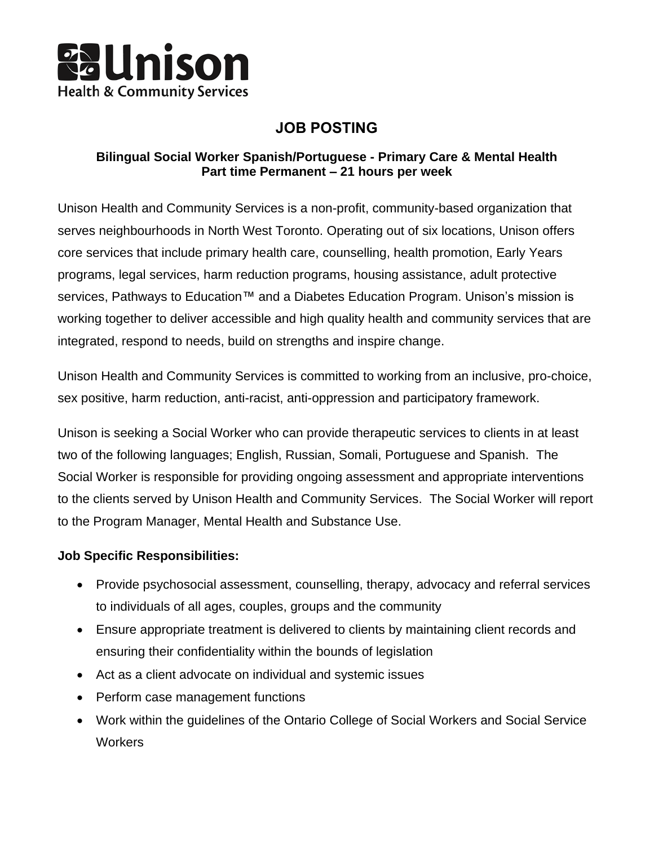

# **JOB POSTING**

## **Bilingual Social Worker Spanish/Portuguese - Primary Care & Mental Health Part time Permanent – 21 hours per week**

Unison Health and Community Services is a non-profit, community-based organization that serves neighbourhoods in North West Toronto. Operating out of six locations, Unison offers core services that include primary health care, counselling, health promotion, Early Years programs, legal services, harm reduction programs, housing assistance, adult protective services, Pathways to Education™ and a Diabetes Education Program. Unison's mission is working together to deliver accessible and high quality health and community services that are integrated, respond to needs, build on strengths and inspire change.

Unison Health and Community Services is committed to working from an inclusive, pro-choice, sex positive, harm reduction, anti-racist, anti-oppression and participatory framework.

Unison is seeking a Social Worker who can provide therapeutic services to clients in at least two of the following languages; English, Russian, Somali, Portuguese and Spanish. The Social Worker is responsible for providing ongoing assessment and appropriate interventions to the clients served by Unison Health and Community Services. The Social Worker will report to the Program Manager, Mental Health and Substance Use.

## **Job Specific Responsibilities:**

- Provide psychosocial assessment, counselling, therapy, advocacy and referral services to individuals of all ages, couples, groups and the community
- Ensure appropriate treatment is delivered to clients by maintaining client records and ensuring their confidentiality within the bounds of legislation
- Act as a client advocate on individual and systemic issues
- Perform case management functions
- Work within the guidelines of the Ontario College of Social Workers and Social Service **Workers**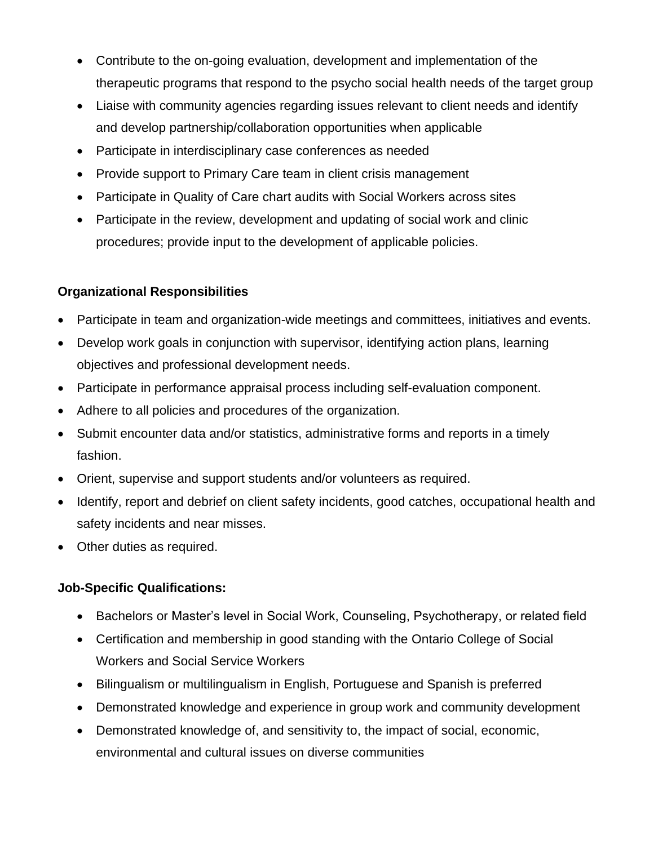- Contribute to the on-going evaluation, development and implementation of the therapeutic programs that respond to the psycho social health needs of the target group
- Liaise with community agencies regarding issues relevant to client needs and identify and develop partnership/collaboration opportunities when applicable
- Participate in interdisciplinary case conferences as needed
- Provide support to Primary Care team in client crisis management
- Participate in Quality of Care chart audits with Social Workers across sites
- Participate in the review, development and updating of social work and clinic procedures; provide input to the development of applicable policies.

## **Organizational Responsibilities**

- Participate in team and organization-wide meetings and committees, initiatives and events.
- Develop work goals in conjunction with supervisor, identifying action plans, learning objectives and professional development needs.
- Participate in performance appraisal process including self-evaluation component.
- Adhere to all policies and procedures of the organization.
- Submit encounter data and/or statistics, administrative forms and reports in a timely fashion.
- Orient, supervise and support students and/or volunteers as required.
- Identify, report and debrief on client safety incidents, good catches, occupational health and safety incidents and near misses.
- Other duties as required.

## **Job-Specific Qualifications:**

- Bachelors or Master's level in Social Work, Counseling, Psychotherapy, or related field
- Certification and membership in good standing with the Ontario College of Social Workers and Social Service Workers
- Bilingualism or multilingualism in English, Portuguese and Spanish is preferred
- Demonstrated knowledge and experience in group work and community development
- Demonstrated knowledge of, and sensitivity to, the impact of social, economic, environmental and cultural issues on diverse communities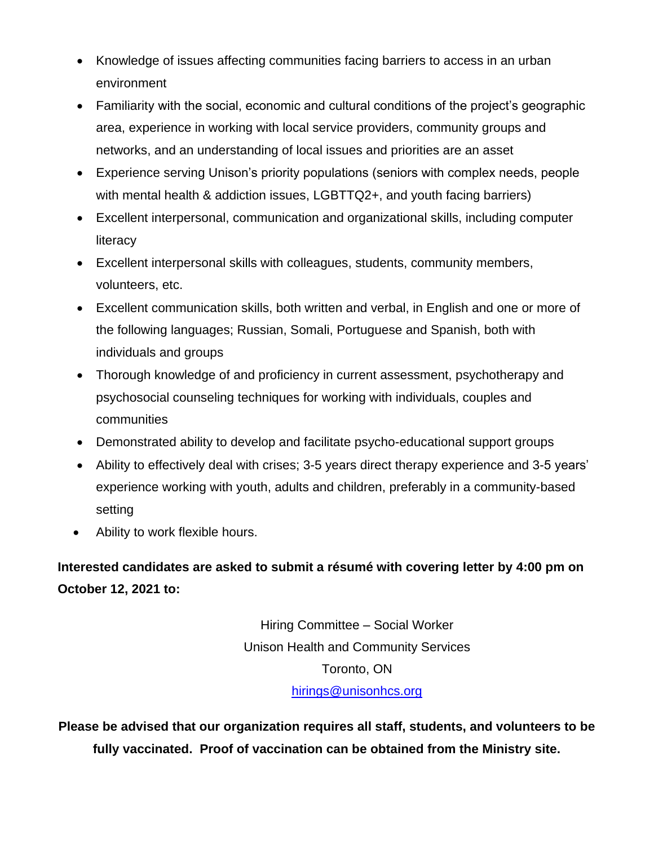- Knowledge of issues affecting communities facing barriers to access in an urban environment
- Familiarity with the social, economic and cultural conditions of the project's geographic area, experience in working with local service providers, community groups and networks, and an understanding of local issues and priorities are an asset
- Experience serving Unison's priority populations (seniors with complex needs, people with mental health & addiction issues, LGBTTQ2+, and youth facing barriers)
- Excellent interpersonal, communication and organizational skills, including computer literacy
- Excellent interpersonal skills with colleagues, students, community members, volunteers, etc.
- Excellent communication skills, both written and verbal, in English and one or more of the following languages; Russian, Somali, Portuguese and Spanish, both with individuals and groups
- Thorough knowledge of and proficiency in current assessment, psychotherapy and psychosocial counseling techniques for working with individuals, couples and communities
- Demonstrated ability to develop and facilitate psycho-educational support groups
- Ability to effectively deal with crises; 3-5 years direct therapy experience and 3-5 years' experience working with youth, adults and children, preferably in a community-based setting
- Ability to work flexible hours.

**Interested candidates are asked to submit a résumé with covering letter by 4:00 pm on October 12, 2021 to:**

> Hiring Committee – Social Worker Unison Health and Community Services Toronto, ON [hirings@unisonhcs.org](mailto:hirings@unisonhcs.org)

**Please be advised that our organization requires all staff, students, and volunteers to be fully vaccinated. Proof of vaccination can be obtained from the Ministry site.**